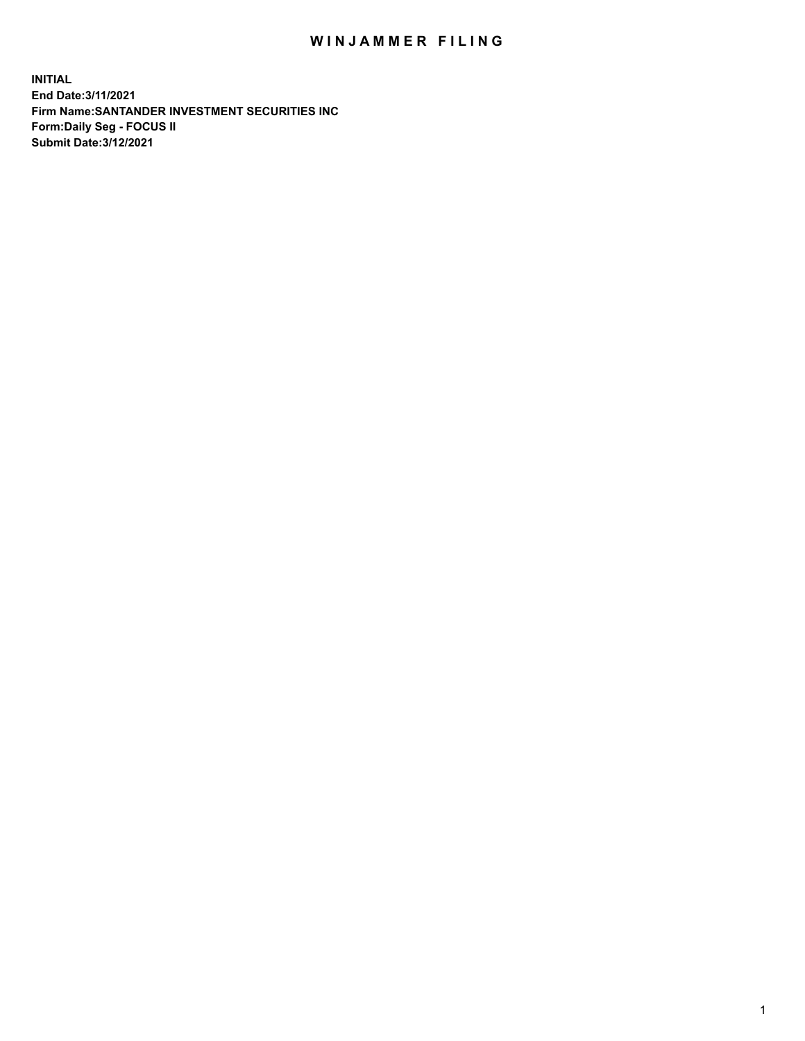## WIN JAMMER FILING

**INITIAL End Date:3/11/2021 Firm Name:SANTANDER INVESTMENT SECURITIES INC Form:Daily Seg - FOCUS II Submit Date:3/12/2021**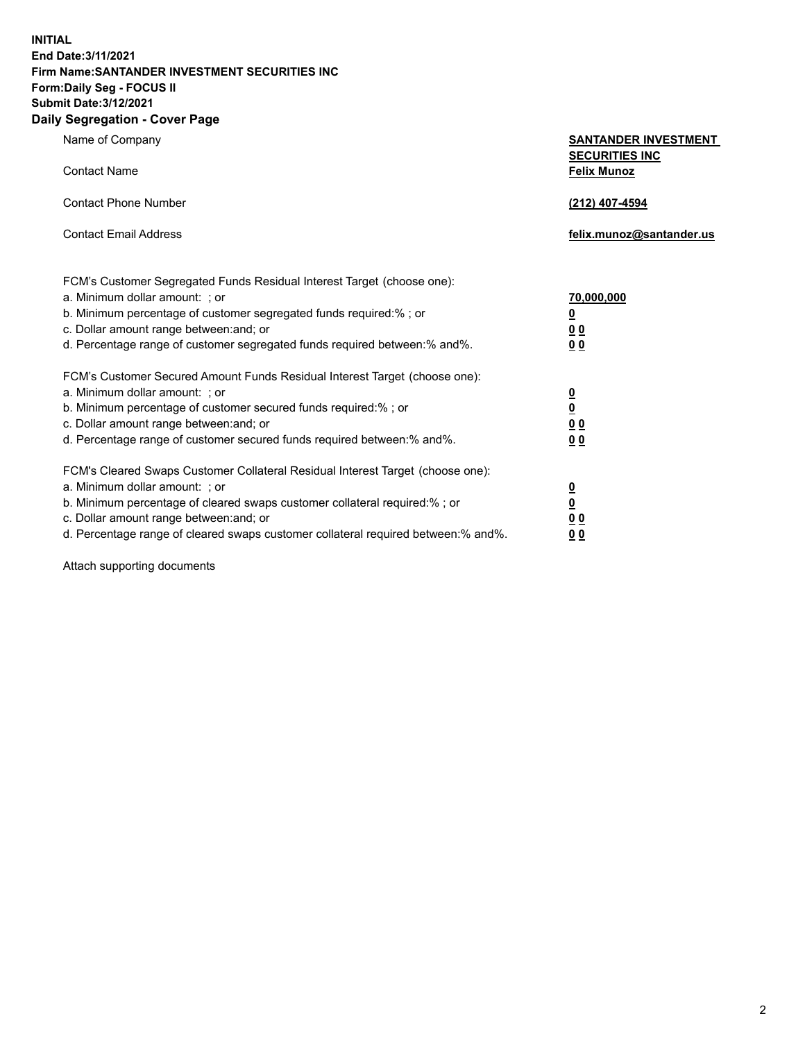**INITIAL End Date:3/11/2021 Firm Name:SANTANDER INVESTMENT SECURITIES INC Form:Daily Seg - FOCUS II Submit Date:3/12/2021 Daily Segregation - Cover Page**

| Name of Company<br><b>Contact Name</b>                                                                                                                                                                                                                                                                                         | <b>SANTANDER INVESTMENT</b><br><b>SECURITIES INC</b><br><b>Felix Munoz</b> |
|--------------------------------------------------------------------------------------------------------------------------------------------------------------------------------------------------------------------------------------------------------------------------------------------------------------------------------|----------------------------------------------------------------------------|
| <b>Contact Phone Number</b>                                                                                                                                                                                                                                                                                                    | (212) 407-4594                                                             |
| <b>Contact Email Address</b>                                                                                                                                                                                                                                                                                                   | felix.munoz@santander.us                                                   |
| FCM's Customer Segregated Funds Residual Interest Target (choose one):<br>a. Minimum dollar amount: ; or<br>b. Minimum percentage of customer segregated funds required:% ; or<br>c. Dollar amount range between: and; or<br>d. Percentage range of customer segregated funds required between:% and%.                         | <u>70,000,000</u><br><u>0</u><br>00<br>0 <sub>0</sub>                      |
| FCM's Customer Secured Amount Funds Residual Interest Target (choose one):<br>a. Minimum dollar amount: ; or<br>b. Minimum percentage of customer secured funds required:%; or<br>c. Dollar amount range between: and; or<br>d. Percentage range of customer secured funds required between:% and%.                            | $\frac{0}{0}$<br>0 <sub>0</sub><br>0 <sub>0</sub>                          |
| FCM's Cleared Swaps Customer Collateral Residual Interest Target (choose one):<br>a. Minimum dollar amount: ; or<br>b. Minimum percentage of cleared swaps customer collateral required:% ; or<br>c. Dollar amount range between: and; or<br>d. Percentage range of cleared swaps customer collateral required between:% and%. | $\frac{0}{0}$<br>0 <sub>0</sub><br>00                                      |

Attach supporting documents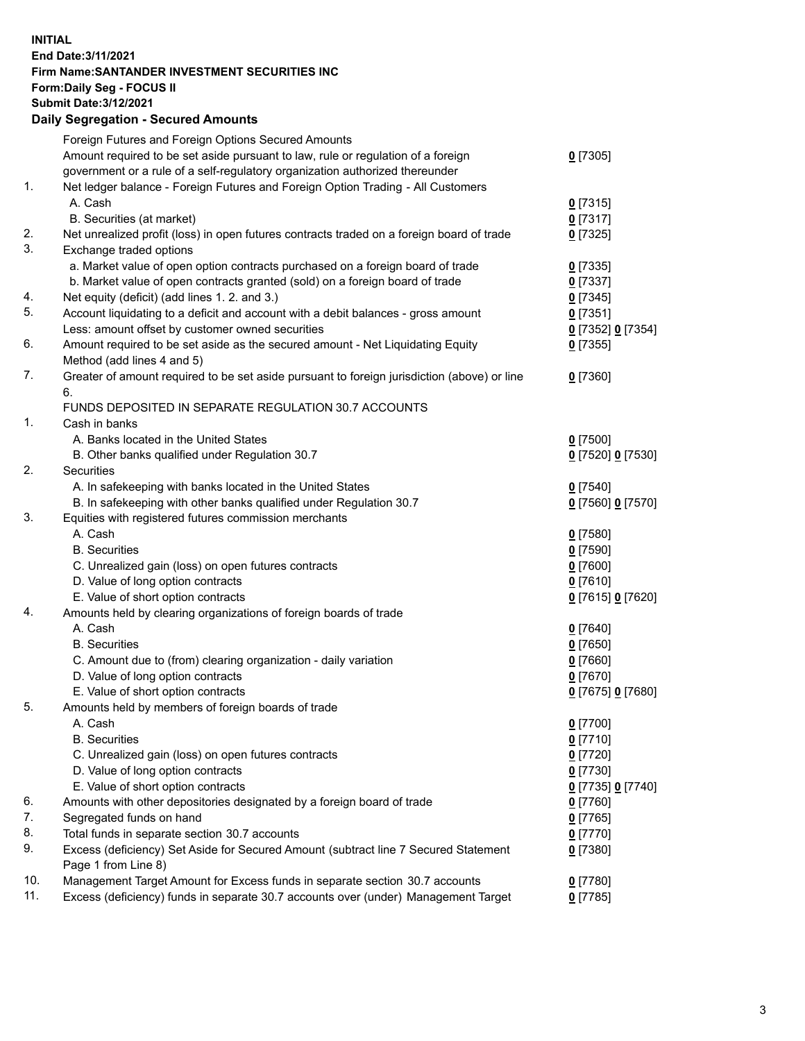**INITIAL End Date:3/11/2021 Firm Name:SANTANDER INVESTMENT SECURITIES INC Form:Daily Seg - FOCUS II Submit Date:3/12/2021 Daily Segregation - Secured Amounts**

|          | Foreign Futures and Foreign Options Secured Amounts                                         |                                         |
|----------|---------------------------------------------------------------------------------------------|-----------------------------------------|
|          | Amount required to be set aside pursuant to law, rule or regulation of a foreign            | $0$ [7305]                              |
|          | government or a rule of a self-regulatory organization authorized thereunder                |                                         |
| 1.       | Net ledger balance - Foreign Futures and Foreign Option Trading - All Customers             |                                         |
|          | A. Cash                                                                                     | $0$ [7315]                              |
|          | B. Securities (at market)                                                                   | $0$ [7317]                              |
| 2.       | Net unrealized profit (loss) in open futures contracts traded on a foreign board of trade   | $0$ [7325]                              |
| 3.       | Exchange traded options                                                                     |                                         |
|          | a. Market value of open option contracts purchased on a foreign board of trade              | $0$ [7335]                              |
|          | b. Market value of open contracts granted (sold) on a foreign board of trade                | $0$ [7337]                              |
| 4.       | Net equity (deficit) (add lines 1. 2. and 3.)                                               | $0$ [7345]                              |
| 5.       | Account liquidating to a deficit and account with a debit balances - gross amount           | $0$ [7351]                              |
|          | Less: amount offset by customer owned securities                                            | 0 [7352] 0 [7354]                       |
| 6.       | Amount required to be set aside as the secured amount - Net Liquidating Equity              | $0$ [7355]                              |
|          | Method (add lines 4 and 5)                                                                  |                                         |
| 7.       | Greater of amount required to be set aside pursuant to foreign jurisdiction (above) or line | $0$ [7360]                              |
|          | 6.                                                                                          |                                         |
|          | FUNDS DEPOSITED IN SEPARATE REGULATION 30.7 ACCOUNTS                                        |                                         |
| 1.       | Cash in banks                                                                               |                                         |
|          | A. Banks located in the United States                                                       | $0$ [7500]                              |
|          | B. Other banks qualified under Regulation 30.7                                              | 0 [7520] 0 [7530]                       |
| 2.       | <b>Securities</b>                                                                           |                                         |
|          | A. In safekeeping with banks located in the United States                                   | $0$ [7540]                              |
|          | B. In safekeeping with other banks qualified under Regulation 30.7                          | 0 [7560] 0 [7570]                       |
| 3.       | Equities with registered futures commission merchants                                       |                                         |
|          | A. Cash                                                                                     | $0$ [7580]                              |
|          | <b>B.</b> Securities                                                                        | $0$ [7590]                              |
|          | C. Unrealized gain (loss) on open futures contracts                                         | $0$ [7600]                              |
|          | D. Value of long option contracts                                                           | $0$ [7610]                              |
|          | E. Value of short option contracts                                                          | 0 [7615] 0 [7620]                       |
| 4.       | Amounts held by clearing organizations of foreign boards of trade                           |                                         |
|          | A. Cash                                                                                     | $0$ [7640]                              |
|          | <b>B.</b> Securities                                                                        | $0$ [7650]                              |
|          | C. Amount due to (from) clearing organization - daily variation                             | $0$ [7660]                              |
|          | D. Value of long option contracts                                                           | $0$ [7670]                              |
| 5.       | E. Value of short option contracts                                                          | 0 [7675] 0 [7680]                       |
|          | Amounts held by members of foreign boards of trade                                          |                                         |
|          | A. Cash                                                                                     | 0 [7700]                                |
|          | <b>B.</b> Securities                                                                        | 0 <sup>[7710]</sup>                     |
|          | C. Unrealized gain (loss) on open futures contracts<br>D. Value of long option contracts    | $0$ [7720]                              |
|          | E. Value of short option contracts                                                          | $0$ [7730]                              |
|          |                                                                                             | 0 <sup>[7735]</sup> 0 <sup>[7740]</sup> |
| 6.<br>7. | Amounts with other depositories designated by a foreign board of trade                      | 0 [7760]                                |
| 8.       | Segregated funds on hand<br>Total funds in separate section 30.7 accounts                   | $0$ [7765]                              |
| 9.       | Excess (deficiency) Set Aside for Secured Amount (subtract line 7 Secured Statement         | $0$ [7770]                              |
|          | Page 1 from Line 8)                                                                         | 0 [7380]                                |
| 10.      | Management Target Amount for Excess funds in separate section 30.7 accounts                 | $0$ [7780]                              |
| 11.      | Excess (deficiency) funds in separate 30.7 accounts over (under) Management Target          | 0 <sup>[7785]</sup>                     |
|          |                                                                                             |                                         |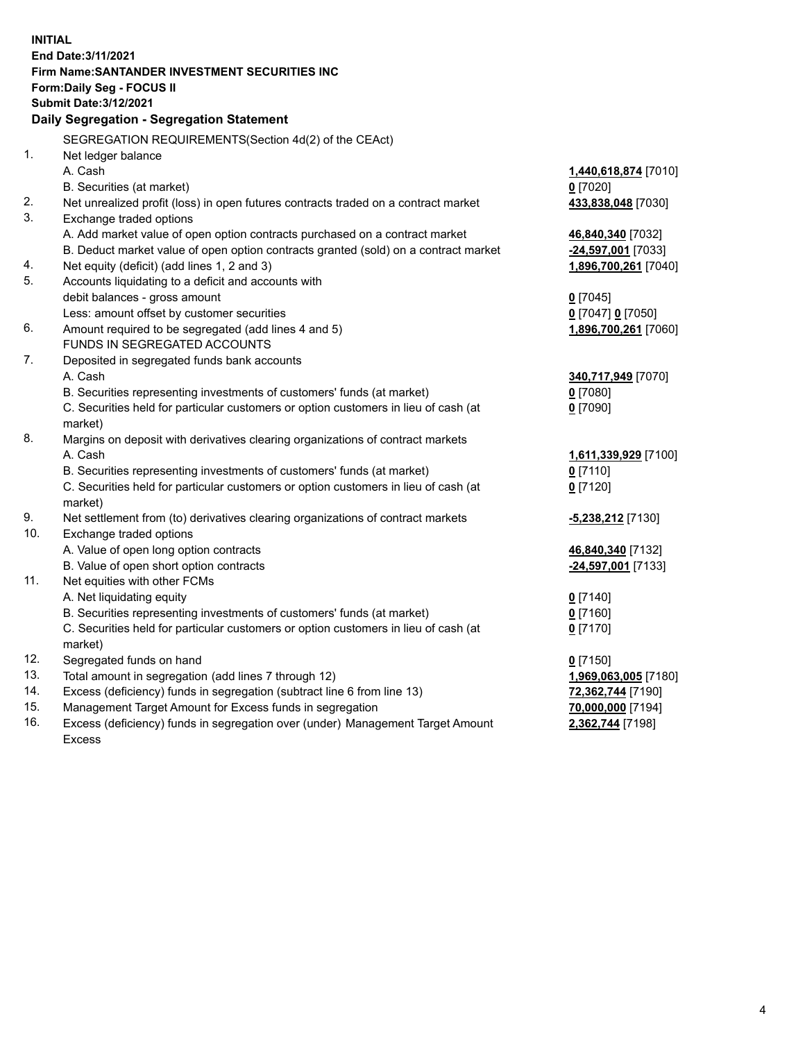| <b>INITIAL</b> |                                                                                                            |                      |  |  |  |  |
|----------------|------------------------------------------------------------------------------------------------------------|----------------------|--|--|--|--|
|                | End Date: 3/11/2021                                                                                        |                      |  |  |  |  |
|                | Firm Name: SANTANDER INVESTMENT SECURITIES INC                                                             |                      |  |  |  |  |
|                | <b>Form:Daily Seg - FOCUS II</b>                                                                           |                      |  |  |  |  |
|                | <b>Submit Date: 3/12/2021</b>                                                                              |                      |  |  |  |  |
|                | Daily Segregation - Segregation Statement                                                                  |                      |  |  |  |  |
|                | SEGREGATION REQUIREMENTS(Section 4d(2) of the CEAct)                                                       |                      |  |  |  |  |
| 1.             | Net ledger balance                                                                                         |                      |  |  |  |  |
|                | A. Cash                                                                                                    | 1,440,618,874 [7010] |  |  |  |  |
|                | B. Securities (at market)                                                                                  | $0$ [7020]           |  |  |  |  |
| 2.             | Net unrealized profit (loss) in open futures contracts traded on a contract market                         | 433,838,048 [7030]   |  |  |  |  |
| 3.             | Exchange traded options                                                                                    |                      |  |  |  |  |
|                | A. Add market value of open option contracts purchased on a contract market                                | 46,840,340 [7032]    |  |  |  |  |
|                | B. Deduct market value of open option contracts granted (sold) on a contract market                        | -24,597,001 [7033]   |  |  |  |  |
| 4.             | Net equity (deficit) (add lines 1, 2 and 3)                                                                | 1,896,700,261 [7040] |  |  |  |  |
| 5.             | Accounts liquidating to a deficit and accounts with                                                        |                      |  |  |  |  |
|                | debit balances - gross amount                                                                              | $0$ [7045]           |  |  |  |  |
|                | Less: amount offset by customer securities                                                                 | 0 [7047] 0 [7050]    |  |  |  |  |
| 6.             | Amount required to be segregated (add lines 4 and 5)                                                       | 1,896,700,261 [7060] |  |  |  |  |
|                | FUNDS IN SEGREGATED ACCOUNTS                                                                               |                      |  |  |  |  |
| 7.             | Deposited in segregated funds bank accounts                                                                |                      |  |  |  |  |
|                | A. Cash                                                                                                    | 340,717,949 [7070]   |  |  |  |  |
|                | B. Securities representing investments of customers' funds (at market)                                     | $0$ [7080]           |  |  |  |  |
|                | C. Securities held for particular customers or option customers in lieu of cash (at                        | $0$ [7090]           |  |  |  |  |
|                | market)                                                                                                    |                      |  |  |  |  |
| 8.             | Margins on deposit with derivatives clearing organizations of contract markets                             |                      |  |  |  |  |
|                | A. Cash                                                                                                    | 1,611,339,929 [7100] |  |  |  |  |
|                | B. Securities representing investments of customers' funds (at market)                                     | $0$ [7110]           |  |  |  |  |
|                | C. Securities held for particular customers or option customers in lieu of cash (at                        | $0$ [7120]           |  |  |  |  |
| 9.             | market)                                                                                                    |                      |  |  |  |  |
| 10.            | Net settlement from (to) derivatives clearing organizations of contract markets<br>Exchange traded options | -5,238,212 [7130]    |  |  |  |  |
|                | A. Value of open long option contracts                                                                     | 46,840,340 [7132]    |  |  |  |  |
|                | B. Value of open short option contracts                                                                    | -24,597,001 [7133]   |  |  |  |  |
| 11.            | Net equities with other FCMs                                                                               |                      |  |  |  |  |
|                | A. Net liquidating equity                                                                                  | $0$ [7140]           |  |  |  |  |
|                | B. Securities representing investments of customers' funds (at market)                                     | $0$ [7160]           |  |  |  |  |
|                | C. Securities held for particular customers or option customers in lieu of cash (at                        | $0$ [7170]           |  |  |  |  |
|                | market)                                                                                                    |                      |  |  |  |  |
| 12.            | Segregated funds on hand                                                                                   | $0$ [7150]           |  |  |  |  |
| 13.            | Total amount in segregation (add lines 7 through 12)                                                       | 1,969,063,005 [7180] |  |  |  |  |
| 14.            | Excess (deficiency) funds in segregation (subtract line 6 from line 13)                                    | 72,362,744 [7190]    |  |  |  |  |
| 15.            | Management Target Amount for Excess funds in segregation                                                   | 70,000,000 [7194]    |  |  |  |  |
| 16.            | Excess (deficiency) funds in segregation over (under) Management Target Amount                             | 2,362,744 [7198]     |  |  |  |  |
|                | <b>Excess</b>                                                                                              |                      |  |  |  |  |